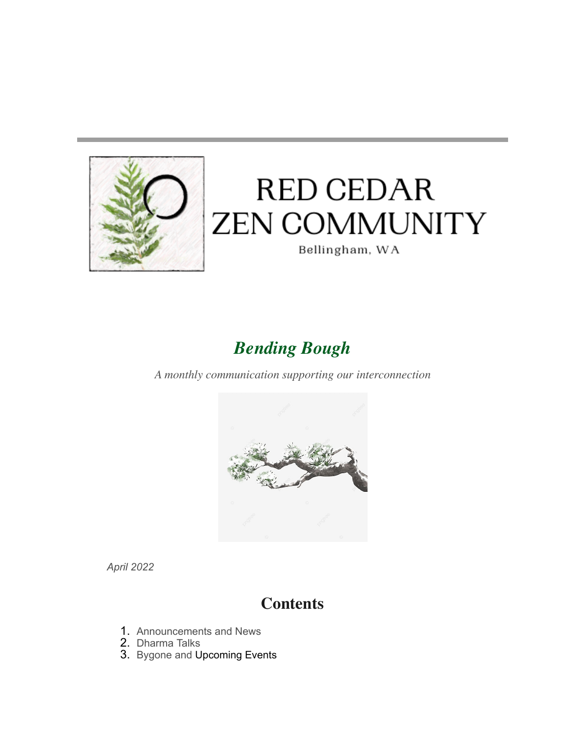

# **RED CEDAR ZEN COMMUNITY**

Bellingham, WA

# *Bending Bough*

*A monthly communication supporting our interconnection*



*April 2022*

## **Contents**

- 1. Announcements and News
- 2. Dharma Talks
- 3. Bygone and Upcoming Events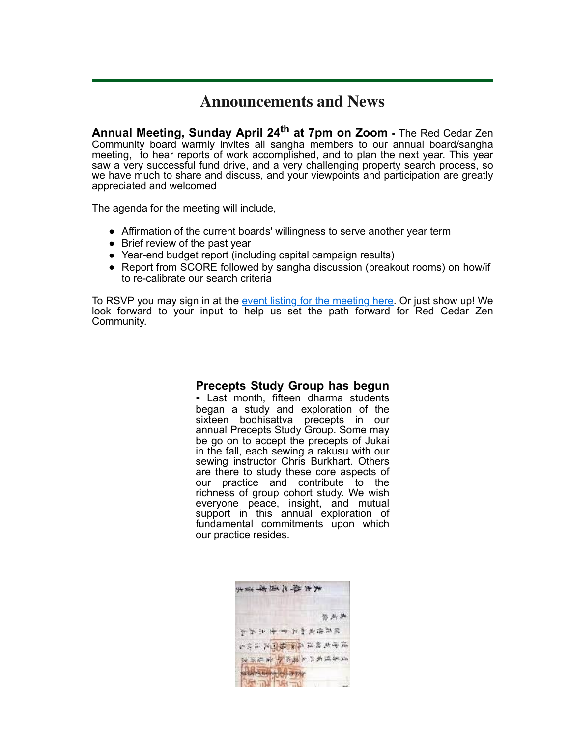#### **Announcements and News**

**Annual Meeting, Sunday April 24th at 7pm on Zoom -** The Red Cedar Zen Community board warmly invites all sangha members to our annual board/sangha meeting, to hear reports of work accomplished, and to plan the next year. This year saw a very successful fund drive, and a very challenging property search process, so we have much to share and discuss, and your viewpoints and participation are greatly appreciated and welcomed

The agenda for the meeting will include,

- Affirmation of the current boards' willingness to serve another year term
- Brief review of the past year
- Year-end budget report (including capital campaign results)
- Report from SCORE followed by sangha discussion (breakout rooms) on how/if to re-calibrate our search criteria

To RSVP you may sign in at the [event listing for the meeting here.](https://www.redcedarzen.org/EmailTracker/LinkTracker.ashx?linkAndRecipientCode=SZUPo06xYyeOzy9DAZjLcF11xll6dkbiBV1mlhaYmbWj8w4vTNu3FlJeWcgfIvTfj1YoezeJ%2b4h2Z8ClJvjDWelMisCzmGW3o5aTMJTV51c%3d) Or just show up! We look forward to your input to help us set the path forward for Red Cedar Zen Community.

#### **Precepts Study Group has begun**

**-** Last month, fifteen dharma students began a study and exploration of the sixteen bodhisattva precepts in our annual Precepts Study Group. Some may be go on to accept the precepts of Jukai in the fall, each sewing a rakusu with our sewing instructor Chris Burkhart. Others are there to study these core aspects of our practice and contribute to the richness of group cohort study. We wish everyone peace, insight, and mutual support in this annual exploration of fundamental commitments upon which our practice resides.

| 東東 精一之道 孝 常子                                                         |  |
|----------------------------------------------------------------------|--|
| 特德舞                                                                  |  |
| 键存槽前细点 車臺 医在麻                                                        |  |
| 使伊东坡建立 通用地图片化的名                                                      |  |
| 美美国家 上一 人 人 人 生 出 原 出<br>NEW YORK OF BUILDING<br><b>And Terminal</b> |  |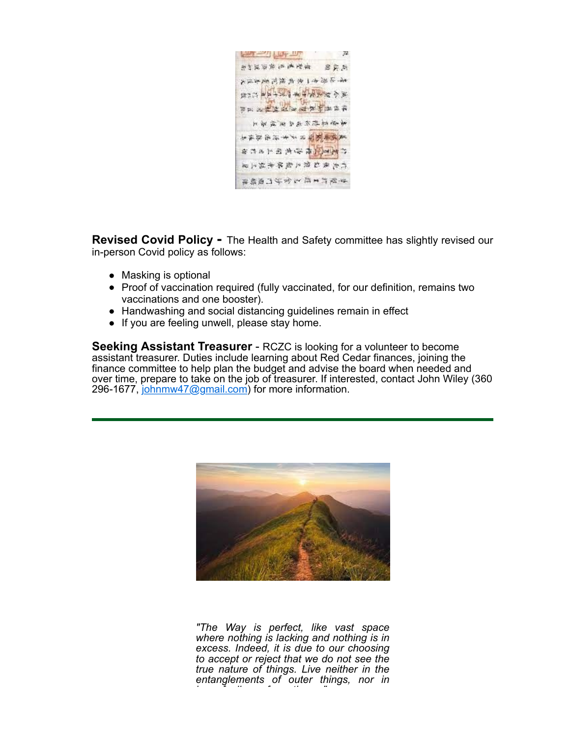

**Revised Covid Policy -** The Health and Safety committee has slightly revised our in-person Covid policy as follows:

- Masking is optional
- Proof of vaccination required (fully vaccinated, for our definition, remains two vaccinations and one booster).
- Handwashing and social distancing guidelines remain in effect
- If you are feeling unwell, please stay home.

**Seeking Assistant Treasurer** - RCZC is looking for a volunteer to become assistant treasurer. Duties include learning about Red Cedar finances, joining the finance committee to help plan the budget and advise the board when needed and over time, prepare to take on the job of treasurer. If interested, contact John Wiley (360 296-1677, [johnmw47@gmail.com\)](mailto:johnmw47@gmail.com) for more information.



*"The Way is perfect, like vast space where nothing is lacking and nothing is in excess. Indeed, it is due to our choosing to accept or reject that we do not see the true nature of things. Live neither in the entanglements of outer things, nor in inner feelings of emptiness."*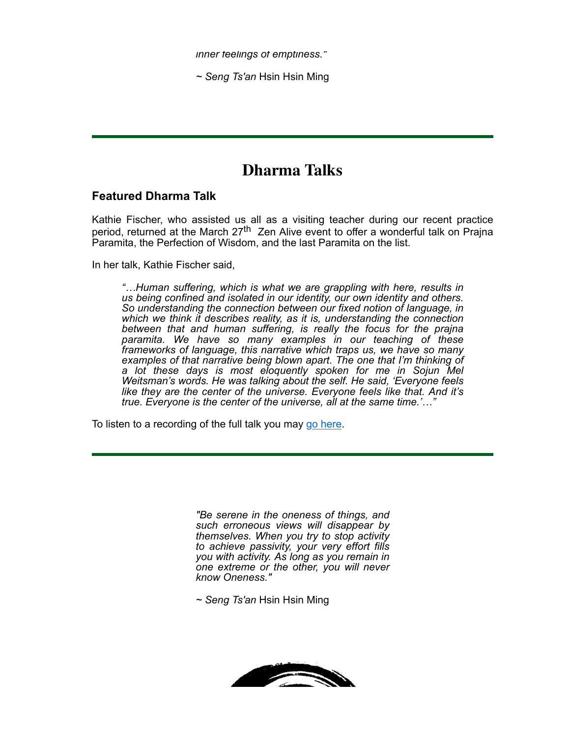*inner feelings of emptiness."*

*~ Seng Ts'an* Hsin Hsin Ming

### **Dharma Talks**

#### **Featured Dharma Talk**

Kathie Fischer, who assisted us all as a visiting teacher during our recent practice period, returned at the March  $27<sup>th</sup>$  Zen Alive event to offer a wonderful talk on Prajna Paramita, the Perfection of Wisdom, and the last Paramita on the list.

In her talk, Kathie Fischer said,

*"…Human suffering, which is what we are grappling with here, results in us being confined and isolated in our identity, our own identity and others. So understanding the connection between our fixed notion of language, in which we think it describes reality, as it is, understanding the connection between that and human suffering, is really the focus for the prajna paramita. We have so many examples in our teaching of these frameworks of language, this narrative which traps us, we have so many examples of that narrative being blown apart. The one that I'm thinking of a lot these days is most eloquently spoken for me in Sojun Mel Weitsman's words. He was talking about the self. He said, 'Everyone feels like they are the center of the universe. Everyone feels like that. And it's true. Everyone is the center of the universe, all at the same time.'…"*

To listen to a recording of the full talk you may [go here](https://www.redcedarzen.org/EmailTracker/LinkTracker.ashx?linkAndRecipientCode=nETRQN90oYMqrNOnHi2nQYNc3XTAa4pkRAygLsJpNMmeeMO5BEJJYG9Udzk3Q%2fmnys2QSvzmN9Ab7PQN4%2fnz8n2zYUeAURZouHOKSlb4CoM%3d).

*"Be serene in the oneness of things, and such erroneous views will disappear by themselves. When you try to stop activity to achieve passivity, your very effort fills you with activity. As long as you remain in one extreme or the other, you will never know Oneness."*

*~ Seng Ts'an* Hsin Hsin Ming

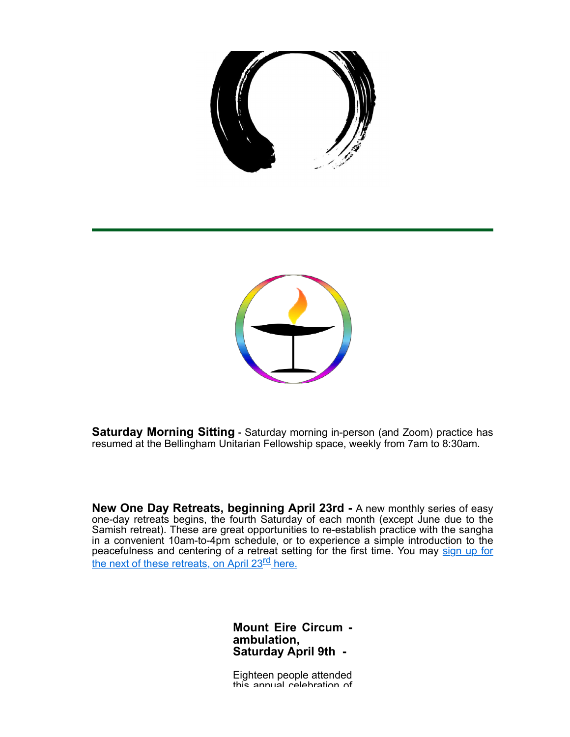



**Saturday Morning Sitting** - Saturday morning in-person (and Zoom) practice has resumed at the Bellingham Unitarian Fellowship space, weekly from 7am to 8:30am.

**New One Day Retreats, beginning April 23rd -** A new monthly series of easy one-day retreats begins, the fourth Saturday of each month (except June due to the Samish retreat). These are great opportunities to re-establish practice with the sangha in a convenient 10am-to-4pm schedule, or to experience a simple introduction to the [peacefulness and centering of a retreat setting for the first time. You may sign up for](https://www.redcedarzen.org/EmailTracker/LinkTracker.ashx?linkAndRecipientCode=vLnC0uFVGSGEMDO9SSgZfMrDcNGXEnqkxji%2bEaVBHvKdmK7euCMk6oBr0Y%2bv%2b%2fgyNb5DTf81jdEiYQZ53k4OxX1WVouQkjhE87CtJWW7dGw%3d) the next of these retreats, on April 23<sup>rd</sup> here.

> **Mount Eire Circum ambulation, Saturday April 9th -**

Eighteen people attended this annual celebration of